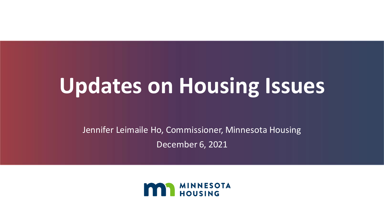# **Updates on Housing Issues**

Jennifer Leimaile Ho, Commissioner, Minnesota Housing December 6, 2021

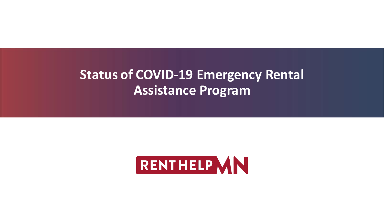#### **Status of COVID-19 Emergency Rental Assistance Program**

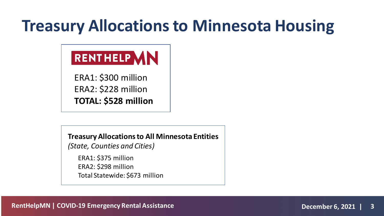#### **Treasury Allocations to Minnesota Housing**

#### RENTHELP VIN

ERA1: \$300 million ERA2: \$228 million **TOTAL: \$528 million**

**Treasury Allocations to All Minnesota Entities** 

*(State, Counties and Cities)*

ERA1: \$375 million ERA2: \$298 million Total Statewide: \$673 million

**RentHelpMN | COVID-19 Emergency Rental Assistance December 6, 2021 | 3**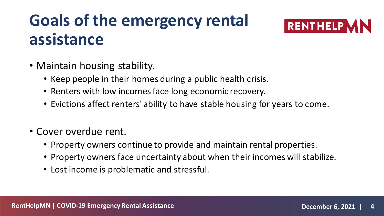### **Goals of the emergency rental assistance**



- Maintain housing stability.
	- Keep people in their homes during a public health crisis.
	- Renters with low incomes face long economic recovery.
	- Evictions affect renters' ability to have stable housing for years to come.
- Cover overdue rent.
	- Property owners continue to provide and maintain rental properties.
	- Property owners face uncertainty about when their incomes will stabilize.
	- Lost income is problematic and stressful.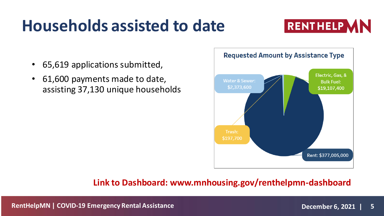#### **Households assisted to date**



- 65,619 applications submitted,
- 61,600 payments made to date, assisting 37,130 unique households



#### **Link to Dashboard: www.mnhousing.gov/renthelpmn-dashboard**

**RentHelpMN | COVID-19 Emergency Rental Assistance December 6, 2021 | 5**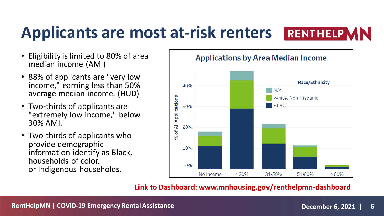# **Applicants are most at-risk renters**



- Eligibility is limited to 80% of area median income (AMI)
- 88% of applicants are "very low income," earning less than 50% average median income. (HUD)
- Two-thirds of applicants are "extremely low income," below 30% AMI.
- Two-thirds of applicants who provide demographic information identify as Black, households of color, or Indigenous households.



#### **Link to Dashboard: www.mnhousing.gov/renthelpmn-dashboard**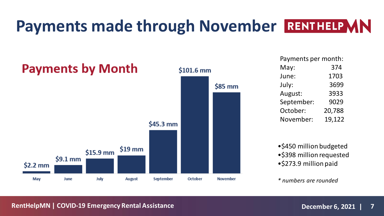### **Payments made through November RENTHELP MN**



Payments per month: May: 374 June: 1703 July: 3699 August: 3933 September: 9029 October: 20,788 November: 19,122

•\$450 million budgeted •\$398 million requested •\$273.9 million paid

*\* numbers are rounded*

#### **RentHelpMN | COVID-19 Emergency Rental Assistance December 6, 2021 | 7**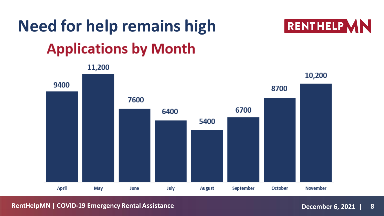# **Need for help remains highApplications by Month**



**RentHelpMN | COVID-19 Emergency Rental Assistance December 6, 2021 | 8**

**RENTHELP MN**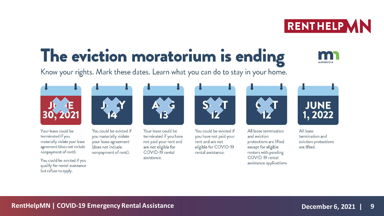# The eviction moratorium is ending

Know your rights. Mark these dates. Learn what you can do to stay in your home.

Your lease could be terminated if you materially violate your lease agreement (does not include nonpayment of rent).

You could be evicted if you qualify for rental assistance but refuse to apply.

You could be evicted if you materially violate your lease agreement (does not include nonpayment of rent).

Your lease could be terminated if you have not paid your rent and are not eligible for COVID-19 rental assistance.

You could be evicted if you have not paid your rent and are not eligible for COVID-19 rental assistance.

All lease termination and eviction protections are lifted except for eligible renters with pending COVID-19 rental assistance applications.



JUNE

 $1, 2022$ 









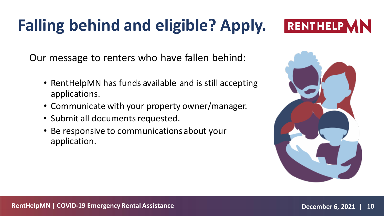# **Falling behind and eligible? Apply.**



Our message to renters who have fallen behind:

- RentHelpMN has funds available and is still accepting applications.
- Communicate with your property owner/manager.
- Submit all documents requested.
- Be responsive to communications about your application.

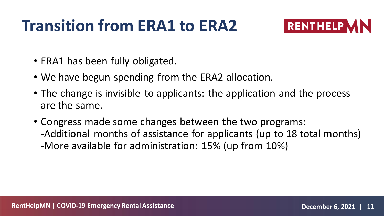#### **Transition from ERA1 to ERA2**



- ERA1 has been fully obligated.
- We have begun spending from the ERA2 allocation.
- The change is invisible to applicants: the application and the process are the same.
- Congress made some changes between the two programs: -Additional months of assistance for applicants (up to 18 total months) -More available for administration: 15% (up from 10%)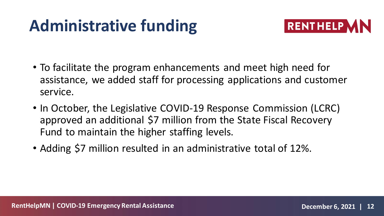# **Administrative funding**



- To facilitate the program enhancements and meet high need for assistance, we added staff for processing applications and customer service.
- In October, the Legislative COVID-19 Response Commission (LCRC) approved an additional \$7 million from the State Fiscal Recovery Fund to maintain the higher staffing levels.
- Adding \$7 million resulted in an administrative total of 12%.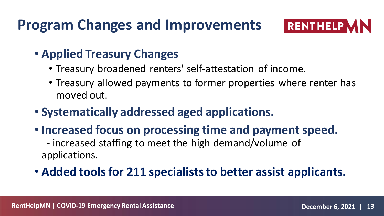#### **Program Changes and Improvements**



#### • **Applied Treasury Changes**

- Treasury broadened renters' self-attestation of income.
- Treasury allowed payments to former properties where renter has moved out.
- **Systematically addressed aged applications.**
- **Increased focus on processing time and payment speed.** - increased staffing to meet the high demand/volume of applications.
- **Added tools for 211 specialists to better assist applicants.**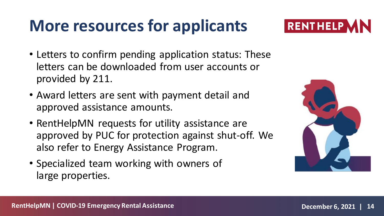### **More resources for applicants**



- Letters to confirm pending application status: These letters can be downloaded from user accounts or provided by 211.
- Award letters are sent with payment detail and approved assistance amounts.
- RentHelpMN requests for utility assistance are approved by PUC for protection against shut-off. We also refer to Energy Assistance Program.
- Specialized team working with owners of large properties.

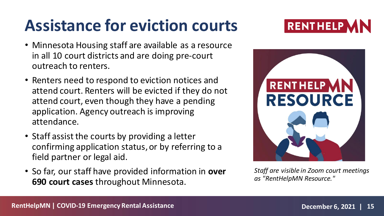#### **Assistance for eviction courts**

- Minnesota Housing staff are available as a resource in all 10 court districts and are doing pre-court outreach to renters.
- Renters need to respond to eviction notices and attend court. Renters will be evicted if they do not attend court, even though they have a pending application. Agency outreach is improving attendance.
- Staff assist the courts by providing a letter confirming application status, or by referring to a field partner or legal aid.
- So far, our staff have provided information in **over 690 court cases** throughout Minnesota.





*Staff are visible in Zoom court meetings as "RentHelpMN Resource."*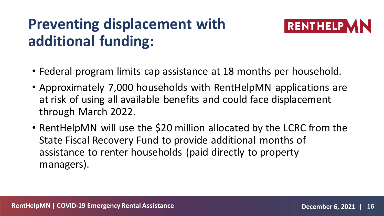#### **Preventing displacement with additional funding:**



- Federal program limits cap assistance at 18 months per household.
- Approximately 7,000 households with RentHelpMN applications are at risk of using all available benefits and could face displacement through March 2022.
- RentHelpMN will use the \$20 million allocated by the LCRC from the State Fiscal Recovery Fund to provide additional months of assistance to renter households (paid directly to property managers).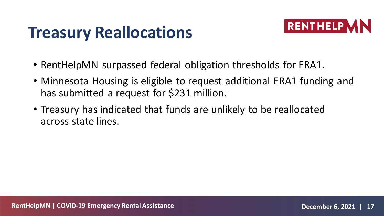#### **Treasury Reallocations**



- RentHelpMN surpassed federal obligation thresholds for ERA1.
- Minnesota Housing is eligible to request additional ERA1 funding and has submitted a request for \$231 million.
- Treasury has indicated that funds are unlikely to be reallocated across state lines.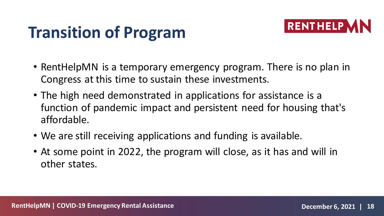# **Transition of Program**



- RentHelpMN is a temporary emergency program. There is no plan in Congress at this time to sustain these investments.
- The high need demonstrated in applications for assistance is a function of pandemic impact and persistent need for housing that's affordable.
- We are still receiving applications and funding is available.
- At some point in 2022, the program will close, as it has and will in other states.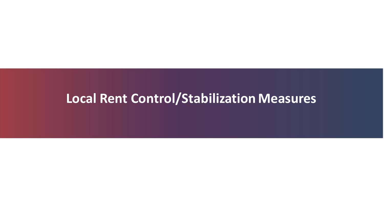#### **Local Rent Control/Stabilization Measures**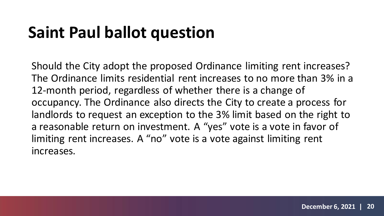## **Saint Paul ballot question**

Should the City adopt the proposed Ordinance limiting rent increases? The Ordinance limits residential rent increases to no more than 3% in a 12-month period, regardless of whether there is a change of occupancy. The Ordinance also directs the City to create a process for landlords to request an exception to the 3% limit based on the right to a reasonable return on investment. A "yes" vote is a vote in favor of limiting rent increases. A "no" vote is a vote against limiting rent increases.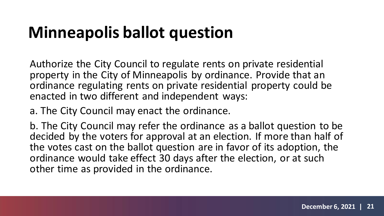#### **Minneapolis ballot question**

Authorize the City Council to regulate rents on private residential property in the City of Minneapolis by ordinance. Provide that an ordinance regulating rents on private residential property could be enacted in two different and independent ways:

a. The City Council may enact the ordinance.

b. The City Council may refer the ordinance as a ballot question to be decided by the voters for approval at an election. If more than half of the votes cast on the ballot question are in favor of its adoption, the ordinance would take effect 30 days after the election, or at such other time as provided in the ordinance.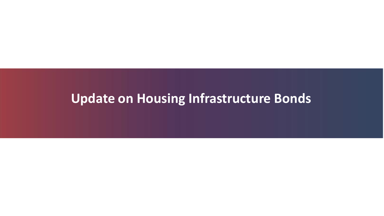#### **Update on Housing Infrastructure Bonds**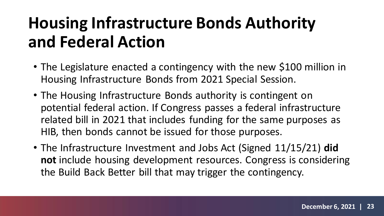## **Housing Infrastructure Bonds Authority and Federal Action**

- The Legislature enacted a contingency with the new \$100 million in Housing Infrastructure Bonds from 2021 Special Session.
- The Housing Infrastructure Bonds authority is contingent on potential federal action. If Congress passes a federal infrastructure related bill in 2021 that includes funding for the same purposes as HIB, then bonds cannot be issued for those purposes.
- The Infrastructure Investment and Jobs Act (Signed 11/15/21) **did not** include housing development resources. Congress is considering the Build Back Better bill that may trigger the contingency.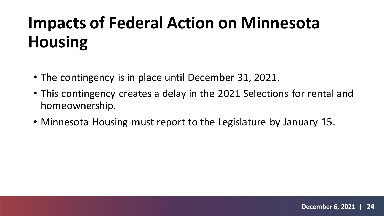# **Impacts of Federal Action on Minnesota Housing**

- The contingency is in place until December 31, 2021.
- This contingency creates a delay in the 2021 Selections for rental and homeownership.
- Minnesota Housing must report to the Legislature by January 15.